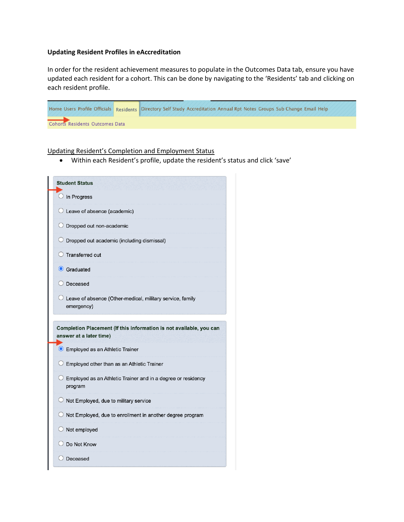# **Updating Resident Profiles in eAccreditation**

In order for the resident achievement measures to populate in the Outcomes Data tab, ensure you have updated each resident for a cohort. This can be done by navigating to the 'Residents' tab and clicking on each resident profile.

|                                  | Home Users Profile Officials Residents Directory Self Study Accreditation Annual Rpt Notes Groups Sub Change Email Help |
|----------------------------------|-------------------------------------------------------------------------------------------------------------------------|
| Cohort's Residents Outcomes Data |                                                                                                                         |

Updating Resident's Completion and Employment Status

• Within each Resident's profile, update the resident's status and click 'save'

| $\bigcirc$ In Progress                                                                         |
|------------------------------------------------------------------------------------------------|
| $\bigcirc$ Leave of absence (academic)                                                         |
| $\bigcirc$ Dropped out non-academic                                                            |
| $\circlearrowright$ Dropped out academic (including dismissal)                                 |
| $\bigcirc$ Transferred out                                                                     |
| Graduated                                                                                      |
| Deceased                                                                                       |
| $\supset$ Leave of absence (Other-medical, military service, family<br>emergency)              |
| Completion Placement (If this information is not available, you can<br>answer at a later time) |
| <b>O</b> Employed as an Athletic Trainer                                                       |
| $\bigcirc$ Employed other than as an Athletic Trainer                                          |
| $\bigcirc$ Employed as an Athletic Trainer and in a degree or residency<br>program             |
| $\bigcirc$ Not Employed, due to military service                                               |
| $\bigcirc$ Not Employed, due to enrollment in another degree program                           |
| $\bigcirc$ Not employed                                                                        |
| Do Not Know                                                                                    |
|                                                                                                |